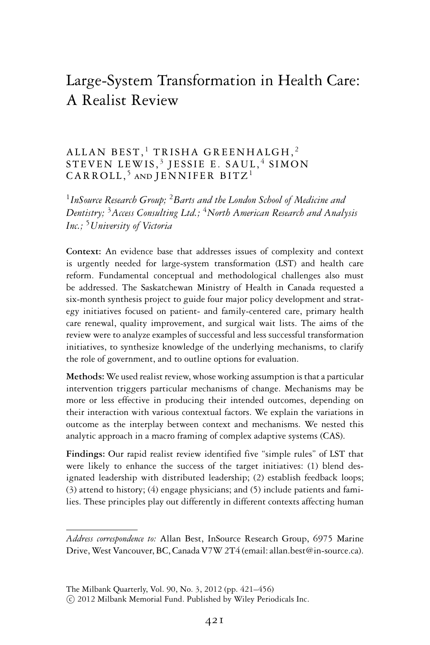# Large-System Transformation in Health Care: A Realist Review

# ALLAN BEST,<sup>1</sup> TRISHA GREENHALGH,<sup>2</sup> STEVEN LEWIS,<sup>3</sup> JESSIE E. SAUL,<sup>4</sup> SIMON  $CARROLL,$ <sup>5</sup> AND JENNIFER BITZ<sup>1</sup>

<sup>1</sup>*InSource Research Group;* <sup>2</sup>*Barts and the London School of Medicine and Dentistry;* <sup>3</sup>*Access Consulting Ltd.;* <sup>4</sup>*North American Research and Analysis Inc.;* <sup>5</sup>*University of Victoria*

**Context:** An evidence base that addresses issues of complexity and context is urgently needed for large-system transformation (LST) and health care reform. Fundamental conceptual and methodological challenges also must be addressed. The Saskatchewan Ministry of Health in Canada requested a six-month synthesis project to guide four major policy development and strategy initiatives focused on patient- and family-centered care, primary health care renewal, quality improvement, and surgical wait lists. The aims of the review were to analyze examples of successful and less successful transformation initiatives, to synthesize knowledge of the underlying mechanisms, to clarify the role of government, and to outline options for evaluation.

**Methods:** We used realist review, whose working assumption is that a particular intervention triggers particular mechanisms of change. Mechanisms may be more or less effective in producing their intended outcomes, depending on their interaction with various contextual factors. We explain the variations in outcome as the interplay between context and mechanisms. We nested this analytic approach in a macro framing of complex adaptive systems (CAS).

**Findings:** Our rapid realist review identified five "simple rules" of LST that were likely to enhance the success of the target initiatives: (1) blend designated leadership with distributed leadership; (2) establish feedback loops; (3) attend to history; (4) engage physicians; and (5) include patients and families. These principles play out differently in different contexts affecting human

*Address correspondence to:* Allan Best, InSource Research Group, 6975 Marine Drive, West Vancouver, BC, Canada V7W 2T4 (email: allan.best@in-source.ca).

The Milbank Quarterly, Vol. 90, No. 3, 2012 (pp. 421–456)

<sup>-</sup>c 2012 Milbank Memorial Fund. Published by Wiley Periodicals Inc.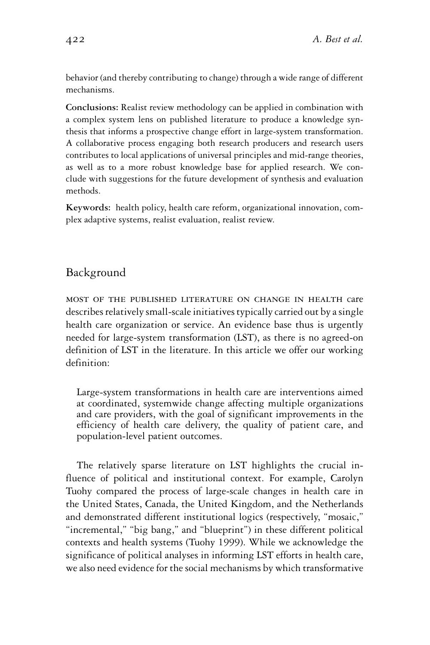behavior (and thereby contributing to change) through a wide range of different mechanisms.

**Conclusions:** Realist review methodology can be applied in combination with a complex system lens on published literature to produce a knowledge synthesis that informs a prospective change effort in large-system transformation. A collaborative process engaging both research producers and research users contributes to local applications of universal principles and mid-range theories, as well as to a more robust knowledge base for applied research. We conclude with suggestions for the future development of synthesis and evaluation methods.

**Keywords:** health policy, health care reform, organizational innovation, complex adaptive systems, realist evaluation, realist review.

# Background

most of the published literature on change in health care describes relatively small-scale initiatives typically carried out by a single health care organization or service. An evidence base thus is urgently needed for large-system transformation (LST), as there is no agreed-on definition of LST in the literature. In this article we offer our working definition:

Large-system transformations in health care are interventions aimed at coordinated, systemwide change affecting multiple organizations and care providers, with the goal of significant improvements in the efficiency of health care delivery, the quality of patient care, and population-level patient outcomes.

The relatively sparse literature on LST highlights the crucial influence of political and institutional context. For example, Carolyn Tuohy compared the process of large-scale changes in health care in the United States, Canada, the United Kingdom, and the Netherlands and demonstrated different institutional logics (respectively, "mosaic," "incremental," "big bang," and "blueprint") in these different political contexts and health systems (Tuohy 1999). While we acknowledge the significance of political analyses in informing LST efforts in health care, we also need evidence for the social mechanisms by which transformative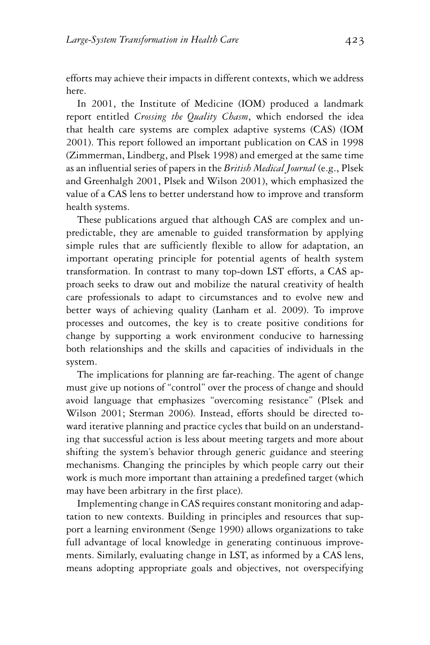efforts may achieve their impacts in different contexts, which we address here.

In 2001, the Institute of Medicine (IOM) produced a landmark report entitled *Crossing the Quality Chasm*, which endorsed the idea that health care systems are complex adaptive systems (CAS) (IOM 2001). This report followed an important publication on CAS in 1998 (Zimmerman, Lindberg, and Plsek 1998) and emerged at the same time as an influential series of papers in the *British Medical Journal* (e.g., Plsek and Greenhalgh 2001, Plsek and Wilson 2001), which emphasized the value of a CAS lens to better understand how to improve and transform health systems.

These publications argued that although CAS are complex and unpredictable, they are amenable to guided transformation by applying simple rules that are sufficiently flexible to allow for adaptation, an important operating principle for potential agents of health system transformation. In contrast to many top-down LST efforts, a CAS approach seeks to draw out and mobilize the natural creativity of health care professionals to adapt to circumstances and to evolve new and better ways of achieving quality (Lanham et al. 2009). To improve processes and outcomes, the key is to create positive conditions for change by supporting a work environment conducive to harnessing both relationships and the skills and capacities of individuals in the system.

The implications for planning are far-reaching. The agent of change must give up notions of "control" over the process of change and should avoid language that emphasizes "overcoming resistance" (Plsek and Wilson 2001; Sterman 2006). Instead, efforts should be directed toward iterative planning and practice cycles that build on an understanding that successful action is less about meeting targets and more about shifting the system's behavior through generic guidance and steering mechanisms. Changing the principles by which people carry out their work is much more important than attaining a predefined target (which may have been arbitrary in the first place).

Implementing change in CAS requires constant monitoring and adaptation to new contexts. Building in principles and resources that support a learning environment (Senge 1990) allows organizations to take full advantage of local knowledge in generating continuous improvements. Similarly, evaluating change in LST, as informed by a CAS lens, means adopting appropriate goals and objectives, not overspecifying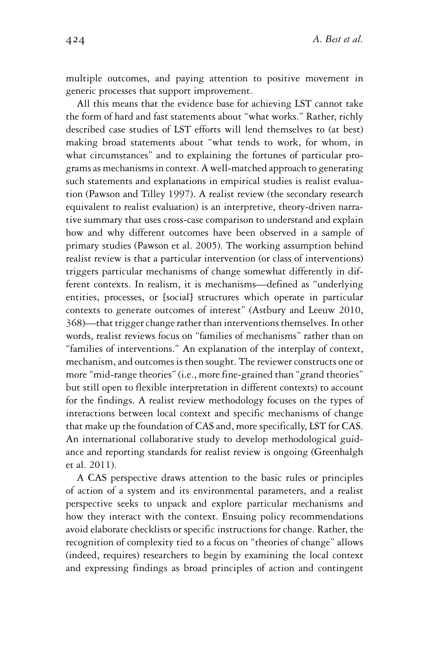multiple outcomes, and paying attention to positive movement in generic processes that support improvement.

All this means that the evidence base for achieving LST cannot take the form of hard and fast statements about "what works." Rather, richly described case studies of LST efforts will lend themselves to (at best) making broad statements about "what tends to work, for whom, in what circumstances" and to explaining the fortunes of particular programs as mechanisms in context. A well-matched approach to generating such statements and explanations in empirical studies is realist evaluation (Pawson and Tilley 1997). A realist review (the secondary research equivalent to realist evaluation) is an interpretive, theory-driven narrative summary that uses cross-case comparison to understand and explain how and why different outcomes have been observed in a sample of primary studies (Pawson et al. 2005). The working assumption behind realist review is that a particular intervention (or class of interventions) triggers particular mechanisms of change somewhat differently in different contexts. In realism, it is mechanisms—defined as "underlying entities, processes, or [social] structures which operate in particular contexts to generate outcomes of interest" (Astbury and Leeuw 2010, 368)—that trigger change rather than interventions themselves. In other words, realist reviews focus on "families of mechanisms" rather than on "families of interventions." An explanation of the interplay of context, mechanism, and outcomes is then sought. The reviewer constructs one or more "mid-range theories" (i.e., more fine-grained than "grand theories" but still open to flexible interpretation in different contexts) to account for the findings. A realist review methodology focuses on the types of interactions between local context and specific mechanisms of change that make up the foundation of CAS and, more specifically, LST for CAS. An international collaborative study to develop methodological guidance and reporting standards for realist review is ongoing (Greenhalgh et al. 2011).

A CAS perspective draws attention to the basic rules or principles of action of a system and its environmental parameters, and a realist perspective seeks to unpack and explore particular mechanisms and how they interact with the context. Ensuing policy recommendations avoid elaborate checklists or specific instructions for change. Rather, the recognition of complexity tied to a focus on "theories of change" allows (indeed, requires) researchers to begin by examining the local context and expressing findings as broad principles of action and contingent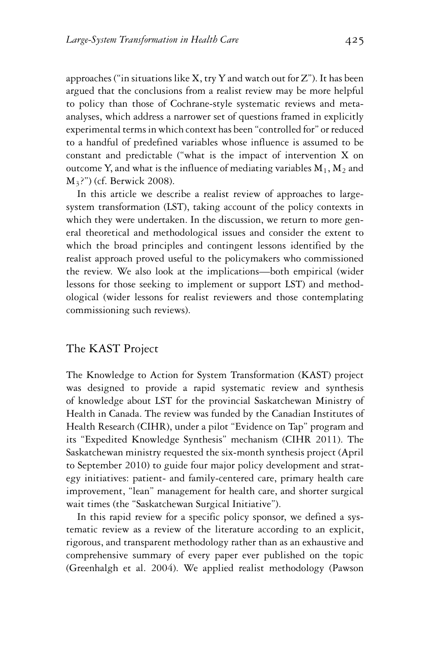approaches ("in situations like  $X$ , try  $Y$  and watch out for  $Z$ "). It has been argued that the conclusions from a realist review may be more helpful to policy than those of Cochrane-style systematic reviews and metaanalyses, which address a narrower set of questions framed in explicitly experimental terms in which context has been "controlled for" or reduced to a handful of predefined variables whose influence is assumed to be constant and predictable ("what is the impact of intervention X on outcome Y, and what is the influence of mediating variables  $M_1$ ,  $M_2$  and M3?") (cf. Berwick 2008).

In this article we describe a realist review of approaches to largesystem transformation (LST), taking account of the policy contexts in which they were undertaken. In the discussion, we return to more general theoretical and methodological issues and consider the extent to which the broad principles and contingent lessons identified by the realist approach proved useful to the policymakers who commissioned the review. We also look at the implications—both empirical (wider lessons for those seeking to implement or support LST) and methodological (wider lessons for realist reviewers and those contemplating commissioning such reviews).

#### The KAST Project

The Knowledge to Action for System Transformation (KAST) project was designed to provide a rapid systematic review and synthesis of knowledge about LST for the provincial Saskatchewan Ministry of Health in Canada. The review was funded by the Canadian Institutes of Health Research (CIHR), under a pilot "Evidence on Tap" program and its "Expedited Knowledge Synthesis" mechanism (CIHR 2011). The Saskatchewan ministry requested the six-month synthesis project (April to September 2010) to guide four major policy development and strategy initiatives: patient- and family-centered care, primary health care improvement, "lean" management for health care, and shorter surgical wait times (the "Saskatchewan Surgical Initiative").

In this rapid review for a specific policy sponsor, we defined a systematic review as a review of the literature according to an explicit, rigorous, and transparent methodology rather than as an exhaustive and comprehensive summary of every paper ever published on the topic (Greenhalgh et al. 2004). We applied realist methodology (Pawson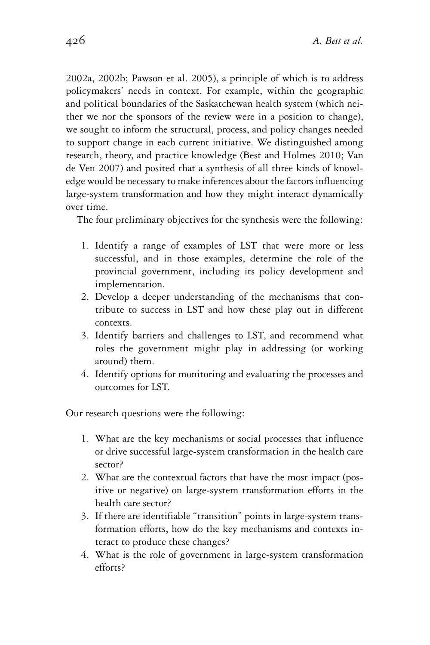2002a, 2002b; Pawson et al. 2005), a principle of which is to address policymakers' needs in context. For example, within the geographic and political boundaries of the Saskatchewan health system (which neither we nor the sponsors of the review were in a position to change), we sought to inform the structural, process, and policy changes needed to support change in each current initiative. We distinguished among research, theory, and practice knowledge (Best and Holmes 2010; Van de Ven 2007) and posited that a synthesis of all three kinds of knowledge would be necessary to make inferences about the factors influencing large-system transformation and how they might interact dynamically over time.

The four preliminary objectives for the synthesis were the following:

- 1. Identify a range of examples of LST that were more or less successful, and in those examples, determine the role of the provincial government, including its policy development and implementation.
- 2. Develop a deeper understanding of the mechanisms that contribute to success in LST and how these play out in different contexts.
- 3. Identify barriers and challenges to LST, and recommend what roles the government might play in addressing (or working around) them.
- 4. Identify options for monitoring and evaluating the processes and outcomes for LST.

Our research questions were the following:

- 1. What are the key mechanisms or social processes that influence or drive successful large-system transformation in the health care sector?
- 2. What are the contextual factors that have the most impact (positive or negative) on large-system transformation efforts in the health care sector?
- 3. If there are identifiable "transition" points in large-system transformation efforts, how do the key mechanisms and contexts interact to produce these changes?
- 4. What is the role of government in large-system transformation efforts?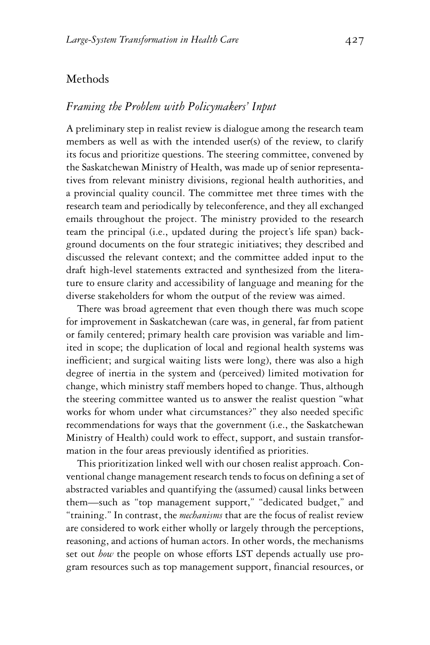# Methods

# *Framing the Problem with Policymakers' Input*

A preliminary step in realist review is dialogue among the research team members as well as with the intended user(s) of the review, to clarify its focus and prioritize questions. The steering committee, convened by the Saskatchewan Ministry of Health, was made up of senior representatives from relevant ministry divisions, regional health authorities, and a provincial quality council. The committee met three times with the research team and periodically by teleconference, and they all exchanged emails throughout the project. The ministry provided to the research team the principal (i.e., updated during the project's life span) background documents on the four strategic initiatives; they described and discussed the relevant context; and the committee added input to the draft high-level statements extracted and synthesized from the literature to ensure clarity and accessibility of language and meaning for the diverse stakeholders for whom the output of the review was aimed.

There was broad agreement that even though there was much scope for improvement in Saskatchewan (care was, in general, far from patient or family centered; primary health care provision was variable and limited in scope; the duplication of local and regional health systems was inefficient; and surgical waiting lists were long), there was also a high degree of inertia in the system and (perceived) limited motivation for change, which ministry staff members hoped to change. Thus, although the steering committee wanted us to answer the realist question "what works for whom under what circumstances?" they also needed specific recommendations for ways that the government (i.e., the Saskatchewan Ministry of Health) could work to effect, support, and sustain transformation in the four areas previously identified as priorities.

This prioritization linked well with our chosen realist approach. Conventional change management research tends to focus on defining a set of abstracted variables and quantifying the (assumed) causal links between them—such as "top management support," "dedicated budget," and "training." In contrast, the *mechanisms* that are the focus of realist review are considered to work either wholly or largely through the perceptions, reasoning, and actions of human actors. In other words, the mechanisms set out *how* the people on whose efforts LST depends actually use program resources such as top management support, financial resources, or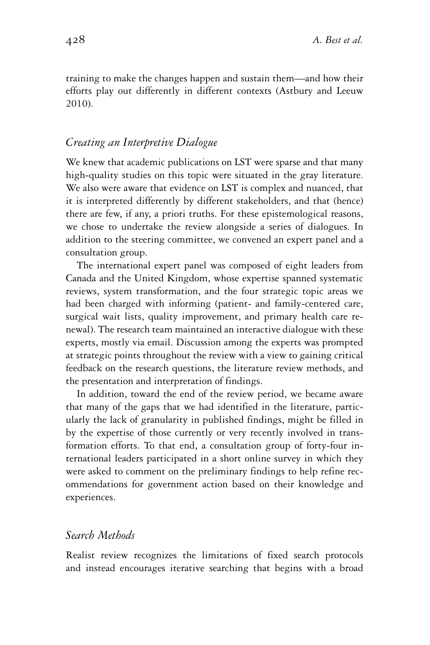training to make the changes happen and sustain them—and how their efforts play out differently in different contexts (Astbury and Leeuw 2010).

# *Creating an Interpretive Dialogue*

We knew that academic publications on LST were sparse and that many high-quality studies on this topic were situated in the gray literature. We also were aware that evidence on LST is complex and nuanced, that it is interpreted differently by different stakeholders, and that (hence) there are few, if any, a priori truths. For these epistemological reasons, we chose to undertake the review alongside a series of dialogues. In addition to the steering committee, we convened an expert panel and a consultation group.

The international expert panel was composed of eight leaders from Canada and the United Kingdom, whose expertise spanned systematic reviews, system transformation, and the four strategic topic areas we had been charged with informing (patient- and family-centered care, surgical wait lists, quality improvement, and primary health care renewal). The research team maintained an interactive dialogue with these experts, mostly via email. Discussion among the experts was prompted at strategic points throughout the review with a view to gaining critical feedback on the research questions, the literature review methods, and the presentation and interpretation of findings.

In addition, toward the end of the review period, we became aware that many of the gaps that we had identified in the literature, particularly the lack of granularity in published findings, might be filled in by the expertise of those currently or very recently involved in transformation efforts. To that end, a consultation group of forty-four international leaders participated in a short online survey in which they were asked to comment on the preliminary findings to help refine recommendations for government action based on their knowledge and experiences.

#### *Search Methods*

Realist review recognizes the limitations of fixed search protocols and instead encourages iterative searching that begins with a broad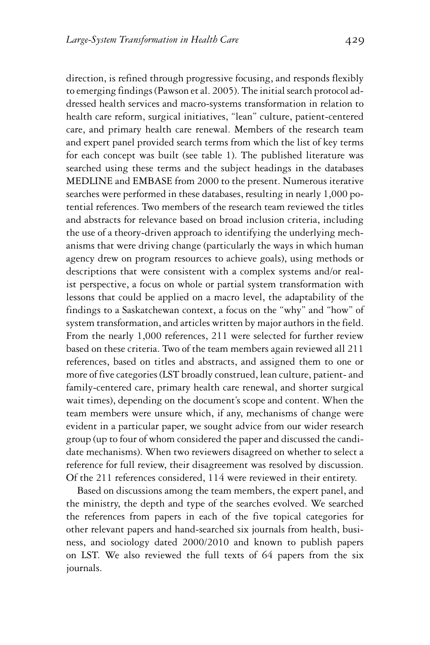direction, is refined through progressive focusing, and responds flexibly to emerging findings (Pawson et al. 2005). The initial search protocol addressed health services and macro-systems transformation in relation to health care reform, surgical initiatives, "lean" culture, patient-centered

care, and primary health care renewal. Members of the research team and expert panel provided search terms from which the list of key terms for each concept was built (see table 1). The published literature was searched using these terms and the subject headings in the databases MEDLINE and EMBASE from 2000 to the present. Numerous iterative searches were performed in these databases, resulting in nearly 1,000 potential references. Two members of the research team reviewed the titles and abstracts for relevance based on broad inclusion criteria, including the use of a theory-driven approach to identifying the underlying mechanisms that were driving change (particularly the ways in which human agency drew on program resources to achieve goals), using methods or descriptions that were consistent with a complex systems and/or realist perspective, a focus on whole or partial system transformation with lessons that could be applied on a macro level, the adaptability of the findings to a Saskatchewan context, a focus on the "why" and "how" of system transformation, and articles written by major authors in the field. From the nearly 1,000 references, 211 were selected for further review based on these criteria. Two of the team members again reviewed all 211 references, based on titles and abstracts, and assigned them to one or more of five categories (LST broadly construed, lean culture, patient- and family-centered care, primary health care renewal, and shorter surgical wait times), depending on the document's scope and content. When the team members were unsure which, if any, mechanisms of change were evident in a particular paper, we sought advice from our wider research group (up to four of whom considered the paper and discussed the candidate mechanisms). When two reviewers disagreed on whether to select a reference for full review, their disagreement was resolved by discussion. Of the 211 references considered, 114 were reviewed in their entirety.

Based on discussions among the team members, the expert panel, and the ministry, the depth and type of the searches evolved. We searched the references from papers in each of the five topical categories for other relevant papers and hand-searched six journals from health, business, and sociology dated 2000/2010 and known to publish papers on LST. We also reviewed the full texts of 64 papers from the six journals.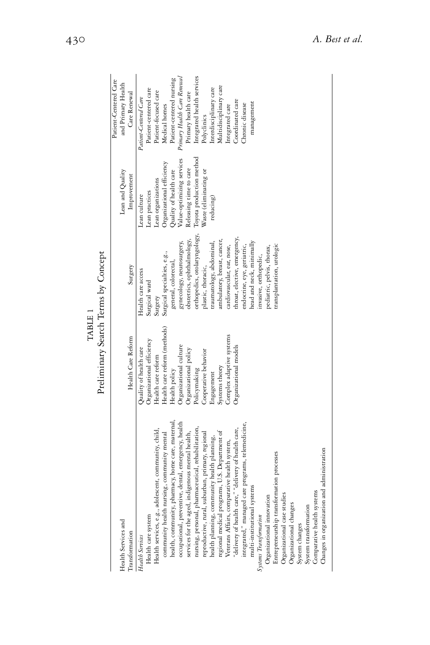|                                                      |                              | Preliminary Search Terms by Concept |                           |                                             |
|------------------------------------------------------|------------------------------|-------------------------------------|---------------------------|---------------------------------------------|
| Health Services and                                  |                              |                                     | Lean and Quality          | Patient-Centered Care<br>and Primary Health |
| Transformation                                       | Health Care Reform           | Surgery                             | Improvement               | Care Renewal                                |
| Health Services                                      | Quality of health care       | Health care access                  | Lean culture              | Patient-Centered Care                       |
| Health care system                                   | Organizational efficiency    | Surgical ward                       | Lean practices            | Patient-centered care                       |
| Health services, e.g., adolescent, community, child, | Health care reform           | Surgery                             | Lean organizations        | Patient-focused care                        |
| community health nursing, community mental           | Health care reform (methods) | Surgical specialties, e.g.,         | Organizational efficiency | Medical homes                               |
| health, community, pharmacy, home care, maternal,    | Health policy                | general, colorectal,                | Quality of health care    | Patient-centered nursing                    |
| occupational, preventive, dental, emergency, health  | Organizational culture       | gynecology, neurosurgery,           | Value-optimizing services | Primary Health Care Renewal                 |
| services for the aged, indigenous mental health,     | Organizational policy        | obstetrics, ophthalmology,          | Releasing time to care    | Primary health care                         |
| nursing, personal, pharmaceutical, rehabilitation,   | Policymaking                 | orthopedics, otolaryngology,        | Toyota production method  | Integrated health services                  |
| reproductive, rural, suburban, primary, regional     | Cooperative behavior         | plastic, thoracic,                  | Waste (eliminating or     | Polyclinics                                 |
| health planning, community health planning,          | Engagement                   | traumatology, abdominal,            | reducing)                 | Interdisciplinary care                      |
| regional medical programs, U.S. Department of        | Systems theory               | ambulatory, breast, cancer,         |                           | Multidisciplinary care                      |
| Veterans Affairs, comparative health system,         | Complex adaptive systems     | cardiovascular, ear, nose,          |                           | Integrated care                             |
| 'delivery of health care," "delivery of health care, | Organizational models        | throat, elective, emergency,        |                           | Coordinated care                            |
| integrated," managed care programs, telemedicine,    |                              | endocrine, eye, geriatric,          |                           | Chronic disease                             |
| multi-institutional systems                          |                              | head and neck, minimally            |                           | management                                  |
| Systems Transformation                               |                              | invasive, orthopedic,               |                           |                                             |
| Organizational innovation                            |                              | pediatric, pelvis, thorax,          |                           |                                             |
| Entrepreneurship transformation processes            |                              | transplantation, urologic           |                           |                                             |
| Organizational case studies                          |                              |                                     |                           |                                             |
| Organizational changes                               |                              |                                     |                           |                                             |
| System changes                                       |                              |                                     |                           |                                             |
| System transformation                                |                              |                                     |                           |                                             |
| Comparative health systems                           |                              |                                     |                           |                                             |
| Changes in organization and administration           |                              |                                     |                           |                                             |

TABLE 1<br>Preliminary Search Terms by Concept TABLE 1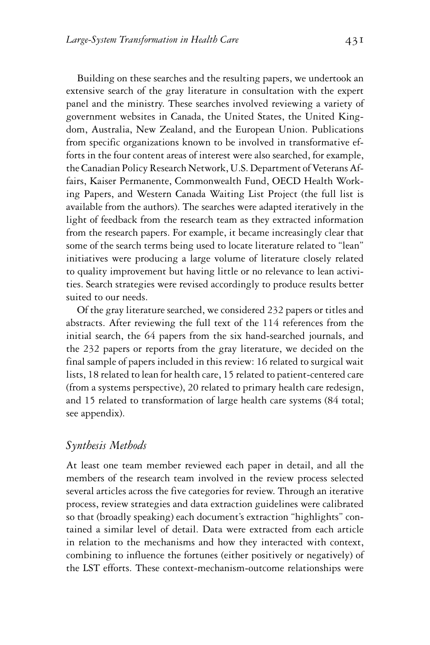Building on these searches and the resulting papers, we undertook an extensive search of the gray literature in consultation with the expert panel and the ministry. These searches involved reviewing a variety of government websites in Canada, the United States, the United Kingdom, Australia, New Zealand, and the European Union. Publications from specific organizations known to be involved in transformative efforts in the four content areas of interest were also searched, for example, the Canadian Policy Research Network, U.S. Department of Veterans Affairs, Kaiser Permanente, Commonwealth Fund, OECD Health Working Papers, and Western Canada Waiting List Project (the full list is available from the authors). The searches were adapted iteratively in the light of feedback from the research team as they extracted information from the research papers. For example, it became increasingly clear that some of the search terms being used to locate literature related to "lean" initiatives were producing a large volume of literature closely related to quality improvement but having little or no relevance to lean activities. Search strategies were revised accordingly to produce results better suited to our needs.

Of the gray literature searched, we considered 232 papers or titles and abstracts. After reviewing the full text of the 114 references from the initial search, the 64 papers from the six hand-searched journals, and the 232 papers or reports from the gray literature, we decided on the final sample of papers included in this review: 16 related to surgical wait lists, 18 related to lean for health care, 15 related to patient-centered care (from a systems perspective), 20 related to primary health care redesign, and 15 related to transformation of large health care systems (84 total; see appendix).

## *Synthesis Methods*

At least one team member reviewed each paper in detail, and all the members of the research team involved in the review process selected several articles across the five categories for review. Through an iterative process, review strategies and data extraction guidelines were calibrated so that (broadly speaking) each document's extraction "highlights" contained a similar level of detail. Data were extracted from each article in relation to the mechanisms and how they interacted with context, combining to influence the fortunes (either positively or negatively) of the LST efforts. These context-mechanism-outcome relationships were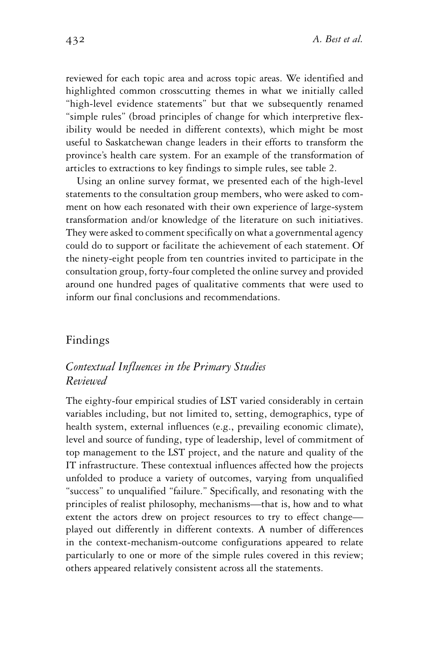reviewed for each topic area and across topic areas. We identified and highlighted common crosscutting themes in what we initially called "high-level evidence statements" but that we subsequently renamed "simple rules" (broad principles of change for which interpretive flexibility would be needed in different contexts), which might be most useful to Saskatchewan change leaders in their efforts to transform the province's health care system. For an example of the transformation of articles to extractions to key findings to simple rules, see table 2.

Using an online survey format, we presented each of the high-level statements to the consultation group members, who were asked to comment on how each resonated with their own experience of large-system transformation and/or knowledge of the literature on such initiatives. They were asked to comment specifically on what a governmental agency could do to support or facilitate the achievement of each statement. Of the ninety-eight people from ten countries invited to participate in the consultation group, forty-four completed the online survey and provided around one hundred pages of qualitative comments that were used to inform our final conclusions and recommendations.

# Findings

# *Contextual Influences in the Primary Studies Reviewed*

The eighty-four empirical studies of LST varied considerably in certain variables including, but not limited to, setting, demographics, type of health system, external influences (e.g., prevailing economic climate), level and source of funding, type of leadership, level of commitment of top management to the LST project, and the nature and quality of the IT infrastructure. These contextual influences affected how the projects unfolded to produce a variety of outcomes, varying from unqualified "success" to unqualified "failure." Specifically, and resonating with the principles of realist philosophy, mechanisms—that is, how and to what extent the actors drew on project resources to try to effect change played out differently in different contexts. A number of differences in the context-mechanism-outcome configurations appeared to relate particularly to one or more of the simple rules covered in this review; others appeared relatively consistent across all the statements.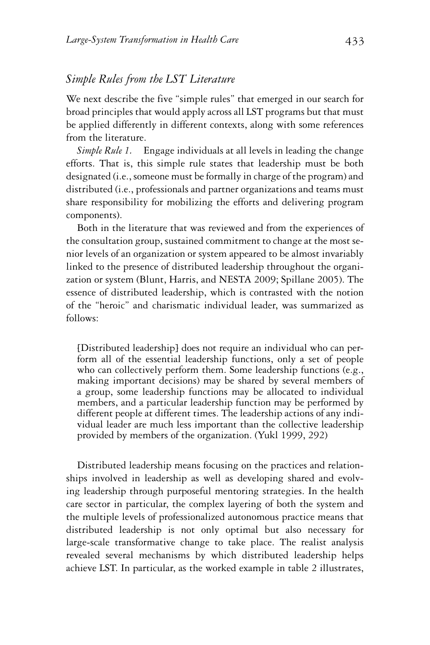# *Simple Rules from the LST Literature*

We next describe the five "simple rules" that emerged in our search for broad principles that would apply across all LST programs but that must be applied differently in different contexts, along with some references from the literature.

*Simple Rule 1.* Engage individuals at all levels in leading the change efforts. That is, this simple rule states that leadership must be both designated (i.e., someone must be formally in charge of the program) and distributed (i.e., professionals and partner organizations and teams must share responsibility for mobilizing the efforts and delivering program components).

Both in the literature that was reviewed and from the experiences of the consultation group, sustained commitment to change at the most senior levels of an organization or system appeared to be almost invariably linked to the presence of distributed leadership throughout the organization or system (Blunt, Harris, and NESTA 2009; Spillane 2005). The essence of distributed leadership, which is contrasted with the notion of the "heroic" and charismatic individual leader, was summarized as follows:

[Distributed leadership] does not require an individual who can perform all of the essential leadership functions, only a set of people who can collectively perform them. Some leadership functions (e.g., making important decisions) may be shared by several members of a group, some leadership functions may be allocated to individual members, and a particular leadership function may be performed by different people at different times. The leadership actions of any individual leader are much less important than the collective leadership provided by members of the organization. (Yukl 1999, 292)

Distributed leadership means focusing on the practices and relationships involved in leadership as well as developing shared and evolving leadership through purposeful mentoring strategies. In the health care sector in particular, the complex layering of both the system and the multiple levels of professionalized autonomous practice means that distributed leadership is not only optimal but also necessary for large-scale transformative change to take place. The realist analysis revealed several mechanisms by which distributed leadership helps achieve LST. In particular, as the worked example in table 2 illustrates,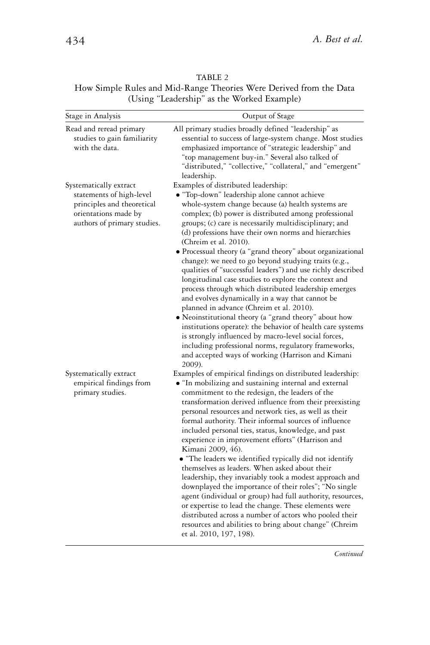| TABLE 2                                                            |
|--------------------------------------------------------------------|
| How Simple Rules and Mid-Range Theories Were Derived from the Data |
| (Using "Leadership" as the Worked Example)                         |

| Stage in Analysis                                                                                                                       | Output of Stage                                                                                                                                                                                                                                                                                                                                                                                                                                                                                                                                                                                                                                                                                                                                                                                                                                                                                                                                                                                                                                                       |
|-----------------------------------------------------------------------------------------------------------------------------------------|-----------------------------------------------------------------------------------------------------------------------------------------------------------------------------------------------------------------------------------------------------------------------------------------------------------------------------------------------------------------------------------------------------------------------------------------------------------------------------------------------------------------------------------------------------------------------------------------------------------------------------------------------------------------------------------------------------------------------------------------------------------------------------------------------------------------------------------------------------------------------------------------------------------------------------------------------------------------------------------------------------------------------------------------------------------------------|
| Read and reread primary<br>studies to gain familiarity<br>with the data.                                                                | All primary studies broadly defined "leadership" as<br>essential to success of large-system change. Most studies<br>emphasized importance of "strategic leadership" and<br>"top management buy-in." Several also talked of<br>"distributed," "collective," "collateral," and "emergent"                                                                                                                                                                                                                                                                                                                                                                                                                                                                                                                                                                                                                                                                                                                                                                               |
| Systematically extract<br>statements of high-level<br>principles and theoretical<br>orientations made by<br>authors of primary studies. | leadership.<br>Examples of distributed leadership:<br>· "Top-down" leadership alone cannot achieve<br>whole-system change because (a) health systems are<br>complex; (b) power is distributed among professional<br>groups; (c) care is necessarily multidisciplinary; and<br>(d) professions have their own norms and hierarchies<br>(Chreim et al. 2010).<br>· Processual theory (a "grand theory" about organizational<br>change): we need to go beyond studying traits (e.g.,<br>qualities of "successful leaders") and use richly described<br>longitudinal case studies to explore the context and<br>process through which distributed leadership emerges<br>and evolves dynamically in a way that cannot be<br>planned in advance (Chreim et al. 2010).<br>· Neoinstitutional theory (a "grand theory" about how<br>institutions operate): the behavior of health care systems<br>is strongly influenced by macro-level social forces,<br>including professional norms, regulatory frameworks,<br>and accepted ways of working (Harrison and Kimani<br>2009). |
| Systematically extract<br>empirical findings from<br>primary studies.                                                                   | Examples of empirical findings on distributed leadership:<br>• "In mobilizing and sustaining internal and external<br>commitment to the redesign, the leaders of the<br>transformation derived influence from their preexisting<br>personal resources and network ties, as well as their<br>formal authority. Their informal sources of influence<br>included personal ties, status, knowledge, and past<br>experience in improvement efforts" (Harrison and<br>Kimani 2009, 46).<br>• "The leaders we identified typically did not identify<br>themselves as leaders. When asked about their<br>leadership, they invariably took a modest approach and<br>downplayed the importance of their roles"; "No single<br>agent (individual or group) had full authority, resources,<br>or expertise to lead the change. These elements were<br>distributed across a number of actors who pooled their<br>resources and abilities to bring about change" (Chreim<br>et al. 2010, 197, 198).                                                                                 |

*Continued*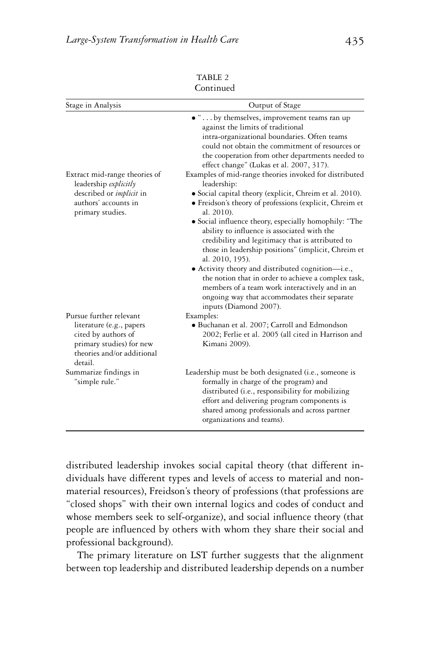| Stage in Analysis                                                                                                    | Output of Stage                                                                                                                                                                                                                                                                             |
|----------------------------------------------------------------------------------------------------------------------|---------------------------------------------------------------------------------------------------------------------------------------------------------------------------------------------------------------------------------------------------------------------------------------------|
|                                                                                                                      | $\bullet$ " by themselves, improvement teams ran up<br>against the limits of traditional<br>intra-organizational boundaries. Often teams<br>could not obtain the commitment of resources or<br>the cooperation from other departments needed to<br>effect change" (Lukas et al. 2007, 317). |
| Extract mid-range theories of                                                                                        | Examples of mid-range theories invoked for distributed                                                                                                                                                                                                                                      |
| leadership explicitly<br>described or <i>implicit</i> in<br>authors' accounts in<br>primary studies.                 | leadership:                                                                                                                                                                                                                                                                                 |
|                                                                                                                      | · Social capital theory (explicit, Chreim et al. 2010).<br>• Freidson's theory of professions (explicit, Chreim et<br>al. 2010).                                                                                                                                                            |
|                                                                                                                      | • Social influence theory, especially homophily: "The<br>ability to influence is associated with the<br>credibility and legitimacy that is attributed to<br>those in leadership positions" (implicit, Chreim et<br>al. 2010, 195).                                                          |
|                                                                                                                      | • Activity theory and distributed cognition—i.e.,<br>the notion that in order to achieve a complex task,<br>members of a team work interactively and in an<br>ongoing way that accommodates their separate<br>inputs (Diamond 2007).                                                        |
| Pursue further relevant                                                                                              | Examples:                                                                                                                                                                                                                                                                                   |
| literature (e.g., papers<br>cited by authors of<br>primary studies) for new<br>theories and/or additional<br>detail. | · Buchanan et al. 2007; Carroll and Edmondson<br>2002; Ferlie et al. 2005 (all cited in Harrison and<br>Kimani 2009).                                                                                                                                                                       |
| Summarize findings in<br>"simple rule."                                                                              | Leadership must be both designated (i.e., someone is<br>formally in charge of the program) and<br>distributed (i.e., responsibility for mobilizing<br>effort and delivering program components is<br>shared among professionals and across partner<br>organizations and teams).             |

TABLE 2 Continued

distributed leadership invokes social capital theory (that different individuals have different types and levels of access to material and nonmaterial resources), Freidson's theory of professions (that professions are "closed shops" with their own internal logics and codes of conduct and whose members seek to self-organize), and social influence theory (that people are influenced by others with whom they share their social and professional background).

The primary literature on LST further suggests that the alignment between top leadership and distributed leadership depends on a number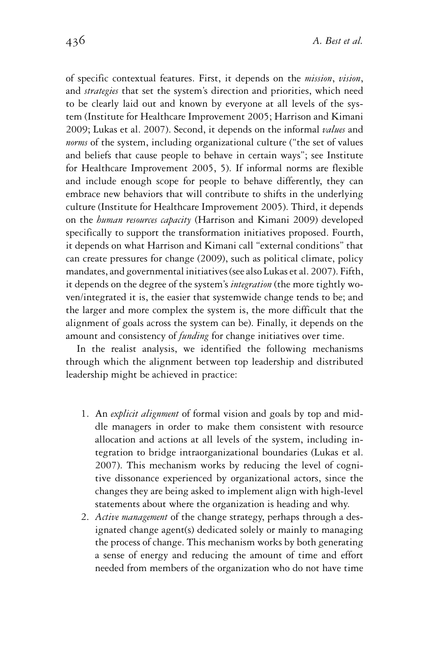of specific contextual features. First, it depends on the *mission*, *vision*, and *strategies* that set the system's direction and priorities, which need to be clearly laid out and known by everyone at all levels of the system (Institute for Healthcare Improvement 2005; Harrison and Kimani 2009; Lukas et al. 2007). Second, it depends on the informal *values* and *norms* of the system, including organizational culture ("the set of values and beliefs that cause people to behave in certain ways"; see Institute for Healthcare Improvement 2005, 5). If informal norms are flexible and include enough scope for people to behave differently, they can embrace new behaviors that will contribute to shifts in the underlying culture (Institute for Healthcare Improvement 2005). Third, it depends on the *human resources capacity* (Harrison and Kimani 2009) developed specifically to support the transformation initiatives proposed. Fourth, it depends on what Harrison and Kimani call "external conditions" that can create pressures for change (2009), such as political climate, policy mandates, and governmental initiatives (see also Lukas et al. 2007). Fifth, it depends on the degree of the system's *integration* (the more tightly woven/integrated it is, the easier that systemwide change tends to be; and the larger and more complex the system is, the more difficult that the alignment of goals across the system can be). Finally, it depends on the amount and consistency of *funding* for change initiatives over time.

In the realist analysis, we identified the following mechanisms through which the alignment between top leadership and distributed leadership might be achieved in practice:

- 1. An *explicit alignment* of formal vision and goals by top and middle managers in order to make them consistent with resource allocation and actions at all levels of the system, including integration to bridge intraorganizational boundaries (Lukas et al. 2007). This mechanism works by reducing the level of cognitive dissonance experienced by organizational actors, since the changes they are being asked to implement align with high-level statements about where the organization is heading and why.
- 2. *Active management* of the change strategy, perhaps through a designated change agent(s) dedicated solely or mainly to managing the process of change. This mechanism works by both generating a sense of energy and reducing the amount of time and effort needed from members of the organization who do not have time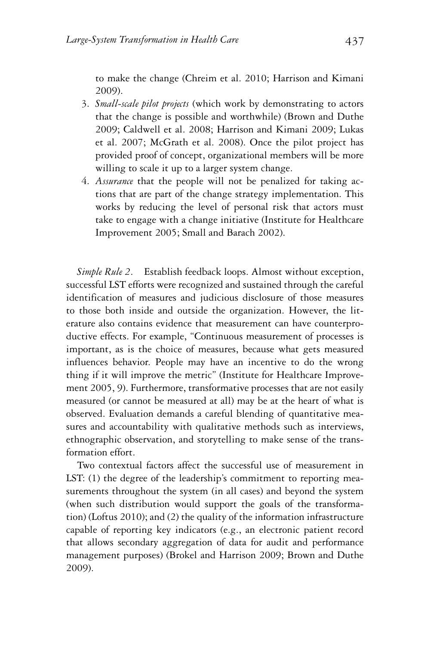to make the change (Chreim et al. 2010; Harrison and Kimani 2009).

- 3. *Small-scale pilot projects* (which work by demonstrating to actors that the change is possible and worthwhile) (Brown and Duthe 2009; Caldwell et al. 2008; Harrison and Kimani 2009; Lukas et al. 2007; McGrath et al. 2008). Once the pilot project has provided proof of concept, organizational members will be more willing to scale it up to a larger system change.
- 4. *Assurance* that the people will not be penalized for taking actions that are part of the change strategy implementation. This works by reducing the level of personal risk that actors must take to engage with a change initiative (Institute for Healthcare Improvement 2005; Small and Barach 2002).

*Simple Rule 2*. Establish feedback loops. Almost without exception, successful LST efforts were recognized and sustained through the careful identification of measures and judicious disclosure of those measures to those both inside and outside the organization. However, the literature also contains evidence that measurement can have counterproductive effects. For example, "Continuous measurement of processes is important, as is the choice of measures, because what gets measured influences behavior. People may have an incentive to do the wrong thing if it will improve the metric" (Institute for Healthcare Improvement 2005, 9). Furthermore, transformative processes that are not easily measured (or cannot be measured at all) may be at the heart of what is observed. Evaluation demands a careful blending of quantitative measures and accountability with qualitative methods such as interviews, ethnographic observation, and storytelling to make sense of the transformation effort.

Two contextual factors affect the successful use of measurement in LST: (1) the degree of the leadership's commitment to reporting measurements throughout the system (in all cases) and beyond the system (when such distribution would support the goals of the transformation) (Loftus 2010); and (2) the quality of the information infrastructure capable of reporting key indicators (e.g., an electronic patient record that allows secondary aggregation of data for audit and performance management purposes) (Brokel and Harrison 2009; Brown and Duthe 2009).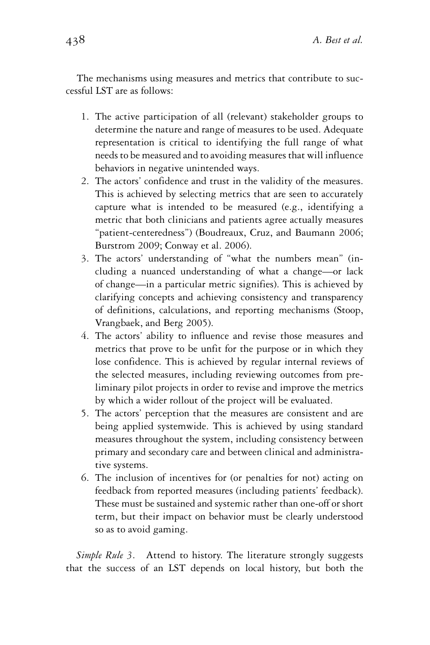The mechanisms using measures and metrics that contribute to successful LST are as follows:

- 1. The active participation of all (relevant) stakeholder groups to determine the nature and range of measures to be used. Adequate representation is critical to identifying the full range of what needs to be measured and to avoiding measures that will influence behaviors in negative unintended ways.
- 2. The actors' confidence and trust in the validity of the measures. This is achieved by selecting metrics that are seen to accurately capture what is intended to be measured (e.g., identifying a metric that both clinicians and patients agree actually measures "patient-centeredness") (Boudreaux, Cruz, and Baumann 2006; Burstrom 2009; Conway et al. 2006).
- 3. The actors' understanding of "what the numbers mean" (including a nuanced understanding of what a change—or lack of change—in a particular metric signifies). This is achieved by clarifying concepts and achieving consistency and transparency of definitions, calculations, and reporting mechanisms (Stoop, Vrangbaek, and Berg 2005).
- 4. The actors' ability to influence and revise those measures and metrics that prove to be unfit for the purpose or in which they lose confidence. This is achieved by regular internal reviews of the selected measures, including reviewing outcomes from preliminary pilot projects in order to revise and improve the metrics by which a wider rollout of the project will be evaluated.
- 5. The actors' perception that the measures are consistent and are being applied systemwide. This is achieved by using standard measures throughout the system, including consistency between primary and secondary care and between clinical and administrative systems.
- 6. The inclusion of incentives for (or penalties for not) acting on feedback from reported measures (including patients' feedback). These must be sustained and systemic rather than one-off or short term, but their impact on behavior must be clearly understood so as to avoid gaming.

*Simple Rule 3*. Attend to history. The literature strongly suggests that the success of an LST depends on local history, but both the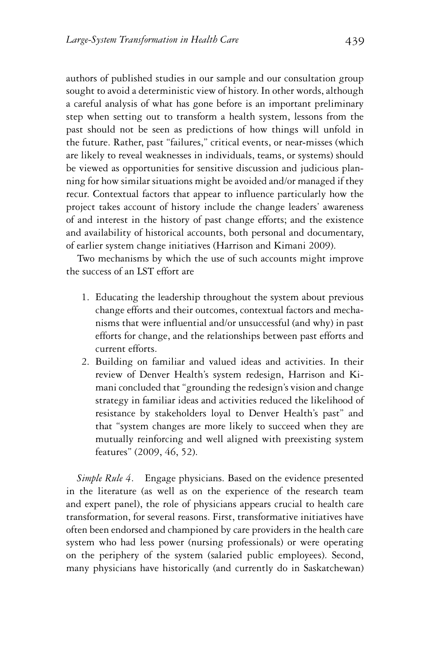authors of published studies in our sample and our consultation group sought to avoid a deterministic view of history. In other words, although a careful analysis of what has gone before is an important preliminary step when setting out to transform a health system, lessons from the past should not be seen as predictions of how things will unfold in the future. Rather, past "failures," critical events, or near-misses (which are likely to reveal weaknesses in individuals, teams, or systems) should be viewed as opportunities for sensitive discussion and judicious planning for how similar situations might be avoided and/or managed if they recur. Contextual factors that appear to influence particularly how the project takes account of history include the change leaders' awareness of and interest in the history of past change efforts; and the existence and availability of historical accounts, both personal and documentary, of earlier system change initiatives (Harrison and Kimani 2009).

Two mechanisms by which the use of such accounts might improve the success of an LST effort are

- 1. Educating the leadership throughout the system about previous change efforts and their outcomes, contextual factors and mechanisms that were influential and/or unsuccessful (and why) in past efforts for change, and the relationships between past efforts and current efforts.
- 2. Building on familiar and valued ideas and activities. In their review of Denver Health's system redesign, Harrison and Kimani concluded that "grounding the redesign's vision and change strategy in familiar ideas and activities reduced the likelihood of resistance by stakeholders loyal to Denver Health's past" and that "system changes are more likely to succeed when they are mutually reinforcing and well aligned with preexisting system features" (2009, 46, 52).

*Simple Rule 4*. Engage physicians. Based on the evidence presented in the literature (as well as on the experience of the research team and expert panel), the role of physicians appears crucial to health care transformation, for several reasons. First, transformative initiatives have often been endorsed and championed by care providers in the health care system who had less power (nursing professionals) or were operating on the periphery of the system (salaried public employees). Second, many physicians have historically (and currently do in Saskatchewan)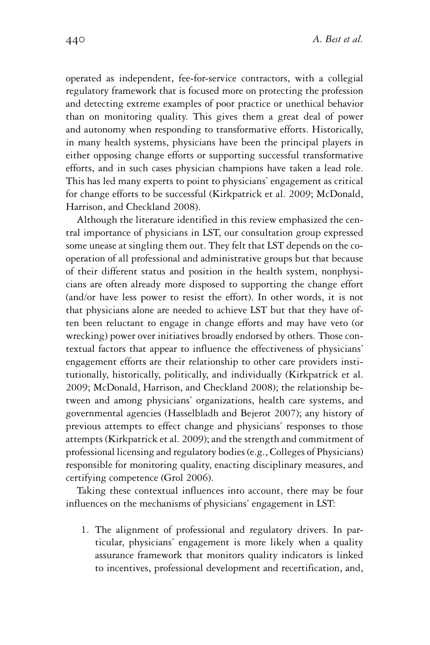operated as independent, fee-for-service contractors, with a collegial regulatory framework that is focused more on protecting the profession and detecting extreme examples of poor practice or unethical behavior than on monitoring quality. This gives them a great deal of power and autonomy when responding to transformative efforts. Historically, in many health systems, physicians have been the principal players in either opposing change efforts or supporting successful transformative efforts, and in such cases physician champions have taken a lead role. This has led many experts to point to physicians' engagement as critical for change efforts to be successful (Kirkpatrick et al. 2009; McDonald, Harrison, and Checkland 2008).

Although the literature identified in this review emphasized the central importance of physicians in LST, our consultation group expressed some unease at singling them out. They felt that LST depends on the cooperation of all professional and administrative groups but that because of their different status and position in the health system, nonphysicians are often already more disposed to supporting the change effort (and/or have less power to resist the effort). In other words, it is not that physicians alone are needed to achieve LST but that they have often been reluctant to engage in change efforts and may have veto (or wrecking) power over initiatives broadly endorsed by others. Those contextual factors that appear to influence the effectiveness of physicians' engagement efforts are their relationship to other care providers institutionally, historically, politically, and individually (Kirkpatrick et al. 2009; McDonald, Harrison, and Checkland 2008); the relationship between and among physicians' organizations, health care systems, and governmental agencies (Hasselbladh and Bejerot 2007); any history of previous attempts to effect change and physicians' responses to those attempts (Kirkpatrick et al. 2009); and the strength and commitment of professional licensing and regulatory bodies (e.g., Colleges of Physicians) responsible for monitoring quality, enacting disciplinary measures, and certifying competence (Grol 2006).

Taking these contextual influences into account, there may be four influences on the mechanisms of physicians' engagement in LST:

1. The alignment of professional and regulatory drivers. In particular, physicians' engagement is more likely when a quality assurance framework that monitors quality indicators is linked to incentives, professional development and recertification, and,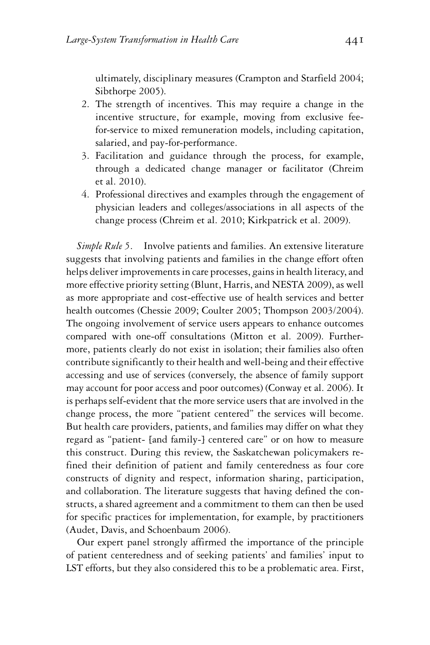ultimately, disciplinary measures (Crampton and Starfield 2004; Sibthorpe 2005).

- 2. The strength of incentives. This may require a change in the incentive structure, for example, moving from exclusive feefor-service to mixed remuneration models, including capitation, salaried, and pay-for-performance.
- 3. Facilitation and guidance through the process, for example, through a dedicated change manager or facilitator (Chreim et al. 2010).
- 4. Professional directives and examples through the engagement of physician leaders and colleges/associations in all aspects of the change process (Chreim et al. 2010; Kirkpatrick et al. 2009).

*Simple Rule 5*. Involve patients and families. An extensive literature suggests that involving patients and families in the change effort often helps deliver improvements in care processes, gains in health literacy, and more effective priority setting (Blunt, Harris, and NESTA 2009), as well as more appropriate and cost-effective use of health services and better health outcomes (Chessie 2009; Coulter 2005; Thompson 2003/2004). The ongoing involvement of service users appears to enhance outcomes compared with one-off consultations (Mitton et al. 2009). Furthermore, patients clearly do not exist in isolation; their families also often contribute significantly to their health and well-being and their effective accessing and use of services (conversely, the absence of family support may account for poor access and poor outcomes) (Conway et al. 2006). It is perhaps self-evident that the more service users that are involved in the change process, the more "patient centered" the services will become. But health care providers, patients, and families may differ on what they regard as "patient- [and family-] centered care" or on how to measure this construct. During this review, the Saskatchewan policymakers refined their definition of patient and family centeredness as four core constructs of dignity and respect, information sharing, participation, and collaboration. The literature suggests that having defined the constructs, a shared agreement and a commitment to them can then be used for specific practices for implementation, for example, by practitioners (Audet, Davis, and Schoenbaum 2006).

Our expert panel strongly affirmed the importance of the principle of patient centeredness and of seeking patients' and families' input to LST efforts, but they also considered this to be a problematic area. First,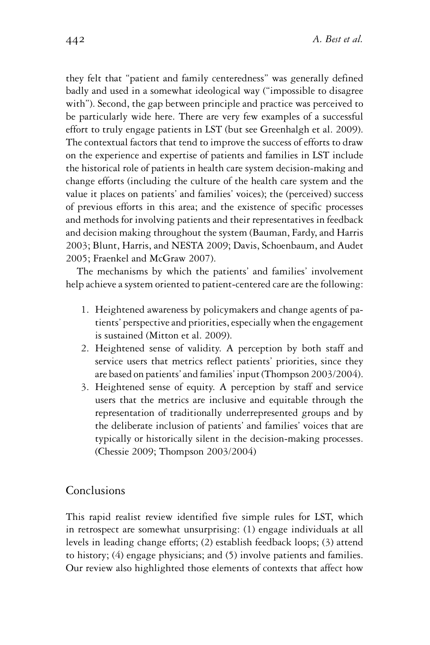they felt that "patient and family centeredness" was generally defined badly and used in a somewhat ideological way ("impossible to disagree with"). Second, the gap between principle and practice was perceived to be particularly wide here. There are very few examples of a successful effort to truly engage patients in LST (but see Greenhalgh et al. 2009). The contextual factors that tend to improve the success of efforts to draw on the experience and expertise of patients and families in LST include the historical role of patients in health care system decision-making and change efforts (including the culture of the health care system and the value it places on patients' and families' voices); the (perceived) success of previous efforts in this area; and the existence of specific processes and methods for involving patients and their representatives in feedback and decision making throughout the system (Bauman, Fardy, and Harris 2003; Blunt, Harris, and NESTA 2009; Davis, Schoenbaum, and Audet 2005; Fraenkel and McGraw 2007).

The mechanisms by which the patients' and families' involvement help achieve a system oriented to patient-centered care are the following:

- 1. Heightened awareness by policymakers and change agents of patients' perspective and priorities, especially when the engagement is sustained (Mitton et al. 2009).
- 2. Heightened sense of validity. A perception by both staff and service users that metrics reflect patients' priorities, since they are based on patients' and families' input (Thompson 2003/2004).
- 3. Heightened sense of equity. A perception by staff and service users that the metrics are inclusive and equitable through the representation of traditionally underrepresented groups and by the deliberate inclusion of patients' and families' voices that are typically or historically silent in the decision-making processes. (Chessie 2009; Thompson 2003/2004)

# **Conclusions**

This rapid realist review identified five simple rules for LST, which in retrospect are somewhat unsurprising: (1) engage individuals at all levels in leading change efforts; (2) establish feedback loops; (3) attend to history; (4) engage physicians; and (5) involve patients and families. Our review also highlighted those elements of contexts that affect how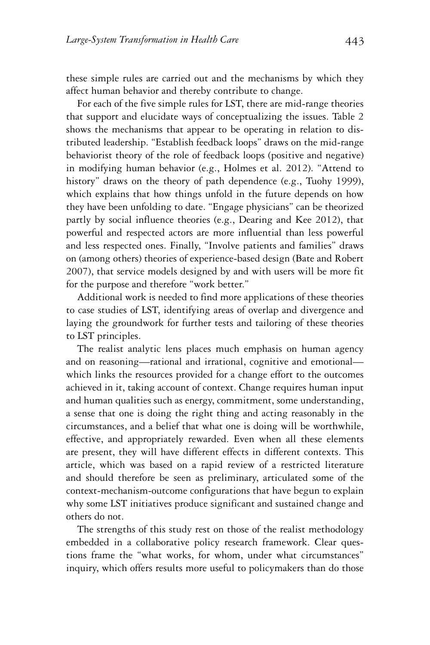these simple rules are carried out and the mechanisms by which they affect human behavior and thereby contribute to change.

For each of the five simple rules for LST, there are mid-range theories that support and elucidate ways of conceptualizing the issues. Table 2 shows the mechanisms that appear to be operating in relation to distributed leadership. "Establish feedback loops" draws on the mid-range behaviorist theory of the role of feedback loops (positive and negative) in modifying human behavior (e.g., Holmes et al. 2012). "Attend to history" draws on the theory of path dependence (e.g., Tuohy 1999), which explains that how things unfold in the future depends on how they have been unfolding to date. "Engage physicians" can be theorized partly by social influence theories (e.g., Dearing and Kee 2012), that powerful and respected actors are more influential than less powerful and less respected ones. Finally, "Involve patients and families" draws on (among others) theories of experience-based design (Bate and Robert 2007), that service models designed by and with users will be more fit for the purpose and therefore "work better."

Additional work is needed to find more applications of these theories to case studies of LST, identifying areas of overlap and divergence and laying the groundwork for further tests and tailoring of these theories to LST principles.

The realist analytic lens places much emphasis on human agency and on reasoning—rational and irrational, cognitive and emotional which links the resources provided for a change effort to the outcomes achieved in it, taking account of context. Change requires human input and human qualities such as energy, commitment, some understanding, a sense that one is doing the right thing and acting reasonably in the circumstances, and a belief that what one is doing will be worthwhile, effective, and appropriately rewarded. Even when all these elements are present, they will have different effects in different contexts. This article, which was based on a rapid review of a restricted literature and should therefore be seen as preliminary, articulated some of the context-mechanism-outcome configurations that have begun to explain why some LST initiatives produce significant and sustained change and others do not.

The strengths of this study rest on those of the realist methodology embedded in a collaborative policy research framework. Clear questions frame the "what works, for whom, under what circumstances" inquiry, which offers results more useful to policymakers than do those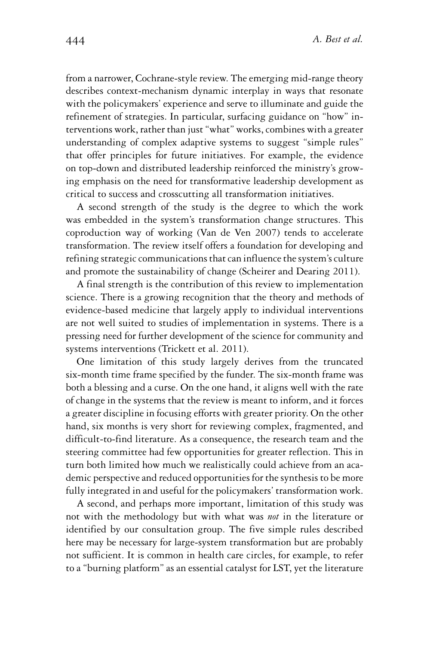from a narrower, Cochrane-style review. The emerging mid-range theory describes context-mechanism dynamic interplay in ways that resonate with the policymakers' experience and serve to illuminate and guide the refinement of strategies. In particular, surfacing guidance on "how" interventions work, rather than just "what" works, combines with a greater understanding of complex adaptive systems to suggest "simple rules" that offer principles for future initiatives. For example, the evidence on top-down and distributed leadership reinforced the ministry's growing emphasis on the need for transformative leadership development as critical to success and crosscutting all transformation initiatives.

A second strength of the study is the degree to which the work was embedded in the system's transformation change structures. This coproduction way of working (Van de Ven 2007) tends to accelerate transformation. The review itself offers a foundation for developing and refining strategic communications that can influence the system's culture and promote the sustainability of change (Scheirer and Dearing 2011).

A final strength is the contribution of this review to implementation science. There is a growing recognition that the theory and methods of evidence-based medicine that largely apply to individual interventions are not well suited to studies of implementation in systems. There is a pressing need for further development of the science for community and systems interventions (Trickett et al. 2011).

One limitation of this study largely derives from the truncated six-month time frame specified by the funder. The six-month frame was both a blessing and a curse. On the one hand, it aligns well with the rate of change in the systems that the review is meant to inform, and it forces a greater discipline in focusing efforts with greater priority. On the other hand, six months is very short for reviewing complex, fragmented, and difficult-to-find literature. As a consequence, the research team and the steering committee had few opportunities for greater reflection. This in turn both limited how much we realistically could achieve from an academic perspective and reduced opportunities for the synthesis to be more fully integrated in and useful for the policymakers' transformation work.

A second, and perhaps more important, limitation of this study was not with the methodology but with what was *not* in the literature or identified by our consultation group. The five simple rules described here may be necessary for large-system transformation but are probably not sufficient. It is common in health care circles, for example, to refer to a "burning platform" as an essential catalyst for LST, yet the literature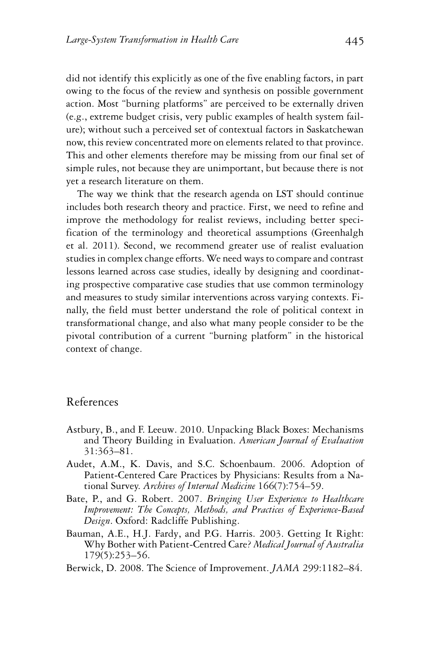did not identify this explicitly as one of the five enabling factors, in part owing to the focus of the review and synthesis on possible government action. Most "burning platforms" are perceived to be externally driven (e.g., extreme budget crisis, very public examples of health system failure); without such a perceived set of contextual factors in Saskatchewan now, this review concentrated more on elements related to that province. This and other elements therefore may be missing from our final set of simple rules, not because they are unimportant, but because there is not yet a research literature on them.

The way we think that the research agenda on LST should continue includes both research theory and practice. First, we need to refine and improve the methodology for realist reviews, including better specification of the terminology and theoretical assumptions (Greenhalgh et al. 2011). Second, we recommend greater use of realist evaluation studies in complex change efforts. We need ways to compare and contrast lessons learned across case studies, ideally by designing and coordinating prospective comparative case studies that use common terminology and measures to study similar interventions across varying contexts. Finally, the field must better understand the role of political context in transformational change, and also what many people consider to be the pivotal contribution of a current "burning platform" in the historical context of change.

# References

- Astbury, B., and F. Leeuw. 2010. Unpacking Black Boxes: Mechanisms and Theory Building in Evaluation. *American Journal of Evaluation* 31:363–81.
- Audet, A.M., K. Davis, and S.C. Schoenbaum. 2006. Adoption of Patient-Centered Care Practices by Physicians: Results from a National Survey. *Archives of Internal Medicine* 166(7):754–59.
- Bate, P., and G. Robert. 2007. *Bringing User Experience to Healthcare Improvement: The Concepts, Methods, and Practices of Experience-Based Design*. Oxford: Radcliffe Publishing.
- Bauman, A.E., H.J. Fardy, and P.G. Harris. 2003. Getting It Right: Why Bother with Patient-Centred Care? *Medical Journal of Australia* 179(5):253–56.
- Berwick, D. 2008. The Science of Improvement. *JAMA* 299:1182–84.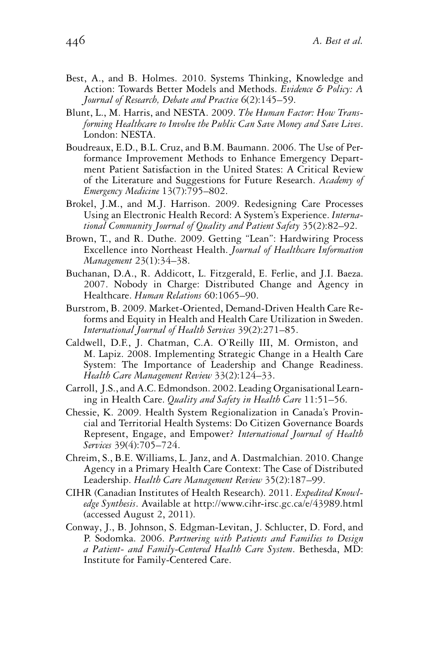- Best, A., and B. Holmes. 2010. Systems Thinking, Knowledge and Action: Towards Better Models and Methods. *Evidence & Policy: A Journal of Research, Debate and Practice* 6(2):145–59.
- Blunt, L., M. Harris, and NESTA. 2009. *The Human Factor: How Transforming Healthcare to Involve the Public Can Save Money and Save Lives*. London: NESTA.
- Boudreaux, E.D., B.L. Cruz, and B.M. Baumann. 2006. The Use of Performance Improvement Methods to Enhance Emergency Department Patient Satisfaction in the United States: A Critical Review of the Literature and Suggestions for Future Research. *Academy of Emergency Medicine* 13(7):795–802.
- Brokel, J.M., and M.J. Harrison. 2009. Redesigning Care Processes Using an Electronic Health Record: A System's Experience. *International Community Journal of Quality and Patient Safety* 35(2):82–92.
- Brown, T., and R. Duthe. 2009. Getting "Lean": Hardwiring Process Excellence into Northeast Health. *Journal of Healthcare Information Management* 23(1):34–38.
- Buchanan, D.A., R. Addicott, L. Fitzgerald, E. Ferlie, and J.I. Baeza. 2007. Nobody in Charge: Distributed Change and Agency in Healthcare. *Human Relations* 60:1065–90.
- Burstrom, B. 2009. Market-Oriented, Demand-Driven Health Care Reforms and Equity in Health and Health Care Utilization in Sweden. *International Journal of Health Services* 39(2):271–85.
- Caldwell, D.F., J. Chatman, C.A. O'Reilly III, M. Ormiston, and M. Lapiz. 2008. Implementing Strategic Change in a Health Care System: The Importance of Leadership and Change Readiness. *Health Care Management Review* 33(2):124–33.
- Carroll, J.S., and A.C. Edmondson. 2002. Leading Organisational Learning in Health Care. *Quality and Safety in Health Care* 11:51–56.
- Chessie, K. 2009. Health System Regionalization in Canada's Provincial and Territorial Health Systems: Do Citizen Governance Boards Represent, Engage, and Empower? *International Journal of Health Services* 39(4):705–724.
- Chreim, S., B.E. Williams, L. Janz, and A. Dastmalchian. 2010. Change Agency in a Primary Health Care Context: The Case of Distributed Leadership. *Health Care Management Review* 35(2):187–99.
- CIHR (Canadian Institutes of Health Research). 2011. *Expedited Knowledge Synthesis*. Available at http://www.cihr-irsc.gc.ca/e/43989.html (accessed August 2, 2011).
- Conway, J., B. Johnson, S. Edgman-Levitan, J. Schlucter, D. Ford, and P. Sodomka. 2006. *Partnering with Patients and Families to Design a Patient- and Family-Centered Health Care System*. Bethesda, MD: Institute for Family-Centered Care.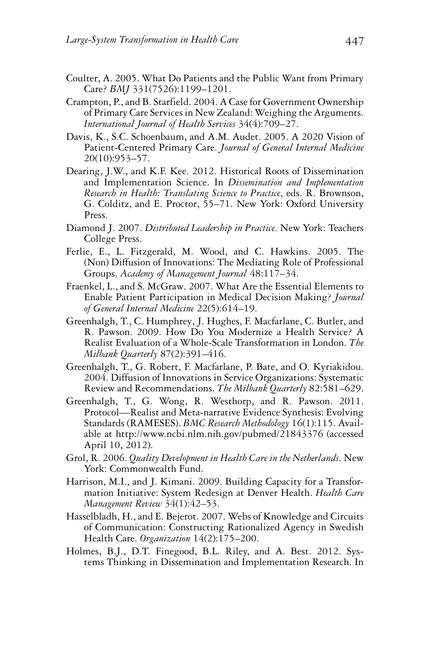- Coulter, A. 2005. What Do Patients and the Public Want from Primary Care? *BMJ* 331(7526):1199–1201.
- Crampton, P., and B. Starfield. 2004. A Case for Government Ownership of Primary Care Services in New Zealand:Weighing the Arguments. *International Journal of Health Services* 34(4):709–27.
- Davis, K., S.C. Schoenbaum, and A.M. Audet. 2005. A 2020 Vision of Patient-Centered Primary Care. *Journal of General Internal Medicine* 20(10):953–57.
- Dearing, J.W., and K.F. Kee. 2012. Historical Roots of Dissemination and Implementation Science. In *Dissemination and Implementation Research in Health: Translating Science to Practice*, eds. R. Brownson, G. Colditz, and E. Proctor, 55–71. New York: Oxford University Press.
- Diamond J. 2007. *Distributed Leadership in Practice*. New York: Teachers College Press.
- Ferlie, E., L. Fitzgerald, M. Wood, and C. Hawkins. 2005. The (Non) Diffusion of Innovations: The Mediating Role of Professional Groups. *Academy of Management Journal* 48:117–34.
- Fraenkel, L., and S. McGraw. 2007. What Are the Essential Elements to Enable Patient Participation in Medical Decision Making? *Journal of General Internal Medicine* 22(5):614–19.
- Greenhalgh, T., C. Humphrey, J. Hughes, F. Macfarlane, C. Butler, and R. Pawson. 2009. How Do You Modernize a Health Service? A Realist Evaluation of a Whole-Scale Transformation in London. *The Milbank Quarterly* 87(2):391–416.
- Greenhalgh, T., G. Robert, F. Macfarlane, P. Bate, and O. Kyriakidou. 2004. Diffusion of Innovations in Service Organizations: Systematic Review and Recommendations. *The Milbank Quarterly* 82:581–629.
- Greenhalgh, T., G. Wong, R. Westhorp, and R. Pawson. 2011. Protocol—Realist and Meta-narrative Evidence Synthesis: Evolving Standards (RAMESES). *BMC Research Methodology* 16(1):115. Available at http://www.ncbi.nlm.nih.gov/pubmed/21843376 (accessed April 10, 2012).
- Grol, R. 2006. *Quality Development in Health Care in the Netherlands*. New York: Commonwealth Fund.
- Harrison, M.I., and J. Kimani. 2009. Building Capacity for a Transformation Initiative: System Redesign at Denver Health. *Health Care Management Review* 34(1):42–53.
- Hasselbladh, H., and E. Bejerot. 2007. Webs of Knowledge and Circuits of Communication: Constructing Rationalized Agency in Swedish Health Care. *Organization* 14(2):175–200.
- Holmes, B.J., D.T. Finegood, B.L. Riley, and A. Best. 2012. Systems Thinking in Dissemination and Implementation Research. In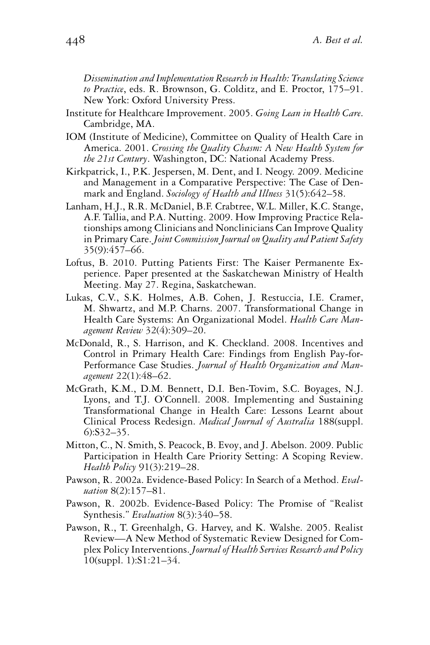*Dissemination and Implementation Research in Health: Translating Science to Practice*, eds. R. Brownson, G. Colditz, and E. Proctor, 175–91. New York: Oxford University Press.

- Institute for Healthcare Improvement. 2005. *Going Lean in Health Care*. Cambridge, MA.
- IOM (Institute of Medicine), Committee on Quality of Health Care in America. 2001. *Crossing the Quality Chasm: A New Health System for the 21st Century*. Washington, DC: National Academy Press.
- Kirkpatrick, I., P.K. Jespersen, M. Dent, and I. Neogy. 2009. Medicine and Management in a Comparative Perspective: The Case of Denmark and England. *Sociology of Health and Illness* 31(5):642–58.
- Lanham, H.J., R.R. McDaniel, B.F. Crabtree, W.L. Miller, K.C. Stange, A.F. Tallia, and P.A. Nutting. 2009. How Improving Practice Relationships among Clinicians and Nonclinicians Can Improve Quality in Primary Care.*Joint Commission Journal on Quality and Patient Safety* 35(9):457–66.
- Loftus, B. 2010. Putting Patients First: The Kaiser Permanente Experience. Paper presented at the Saskatchewan Ministry of Health Meeting. May 27. Regina, Saskatchewan.
- Lukas, C.V., S.K. Holmes, A.B. Cohen, J. Restuccia, I.E. Cramer, M. Shwartz, and M.P. Charns. 2007. Transformational Change in Health Care Systems: An Organizational Model. *Health Care Management Review* 32(4):309–20.
- McDonald, R., S. Harrison, and K. Checkland. 2008. Incentives and Control in Primary Health Care: Findings from English Pay-for-Performance Case Studies. *Journal of Health Organization and Management* 22(1):48–62.
- McGrath, K.M., D.M. Bennett, D.I. Ben-Tovim, S.C. Boyages, N.J. Lyons, and T.J. O'Connell. 2008. Implementing and Sustaining Transformational Change in Health Care: Lessons Learnt about Clinical Process Redesign. *Medical Journal of Australia* 188(suppl.  $6$ : S32–35.
- Mitton, C., N. Smith, S. Peacock, B. Evoy, and J. Abelson. 2009. Public Participation in Health Care Priority Setting: A Scoping Review. *Health Policy* 91(3):219–28.
- Pawson, R. 2002a. Evidence-Based Policy: In Search of a Method. *Evaluation* 8(2):157–81.
- Pawson, R. 2002b. Evidence-Based Policy: The Promise of "Realist Synthesis." *Evaluation* 8(3):340–58.
- Pawson, R., T. Greenhalgh, G. Harvey, and K. Walshe. 2005. Realist Review—A New Method of Systematic Review Designed for Complex Policy Interventions.*Journal of Health Services Research and Policy* 10(suppl. 1):S1:21–34.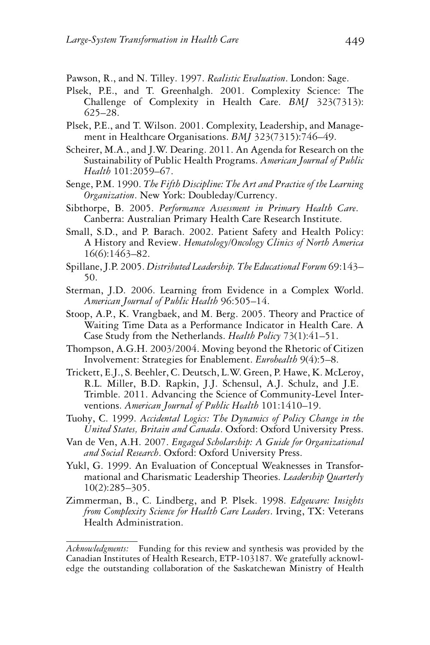- Pawson, R., and N. Tilley. 1997. *Realistic Evaluation*. London: Sage.
- Plsek, P.E., and T. Greenhalgh. 2001. Complexity Science: The Challenge of Complexity in Health Care. *BMJ* 323(7313): 625–28.
- Plsek, P.E., and T. Wilson. 2001. Complexity, Leadership, and Management in Healthcare Organisations. *BMJ* 323(7315):746–49.
- Scheirer, M.A., and J.W. Dearing. 2011. An Agenda for Research on the Sustainability of Public Health Programs. *American Journal of Public Health* 101:2059–67.
- Senge, P.M. 1990. *The Fifth Discipline: The Art and Practice of the Learning Organization*. New York: Doubleday/Currency.
- Sibthorpe, B. 2005. *Performance Assessment in Primary Health Care*. Canberra: Australian Primary Health Care Research Institute.
- Small, S.D., and P. Barach. 2002. Patient Safety and Health Policy: A History and Review. *Hematology/Oncology Clinics of North America* 16(6):1463–82.
- Spillane, J.P. 2005. *Distributed Leadership. The Educational Forum* 69:143– 50.
- Sterman, J.D. 2006. Learning from Evidence in a Complex World. *American Journal of Public Health* 96:505–14.
- Stoop, A.P., K. Vrangbaek, and M. Berg. 2005. Theory and Practice of Waiting Time Data as a Performance Indicator in Health Care. A Case Study from the Netherlands. *Health Policy* 73(1):41–51.
- Thompson, A.G.H. 2003/2004. Moving beyond the Rhetoric of Citizen Involvement: Strategies for Enablement. *Eurohealth* 9(4):5–8.
- Trickett, E.J., S. Beehler, C. Deutsch, L.W. Green, P. Hawe, K. McLeroy, R.L. Miller, B.D. Rapkin, J.J. Schensul, A.J. Schulz, and J.E. Trimble. 2011. Advancing the Science of Community-Level Interventions. *American Journal of Public Health* 101:1410–19.
- Tuohy, C. 1999. *Accidental Logics: The Dynamics of Policy Change in the United States, Britain and Canada*. Oxford: Oxford University Press.
- Van de Ven, A.H. 2007. *Engaged Scholarship: A Guide for Organizational and Social Research*. Oxford: Oxford University Press.
- Yukl, G. 1999. An Evaluation of Conceptual Weaknesses in Transformational and Charismatic Leadership Theories. *Leadership Quarterly* 10(2):285–305.
- Zimmerman, B., C. Lindberg, and P. Plsek. 1998. *Edgeware: Insights from Complexity Science for Health Care Leaders*. Irving, TX: Veterans Health Administration.

*Acknowledgments:* Funding for this review and synthesis was provided by the Canadian Institutes of Health Research, ETP-103187. We gratefully acknowledge the outstanding collaboration of the Saskatchewan Ministry of Health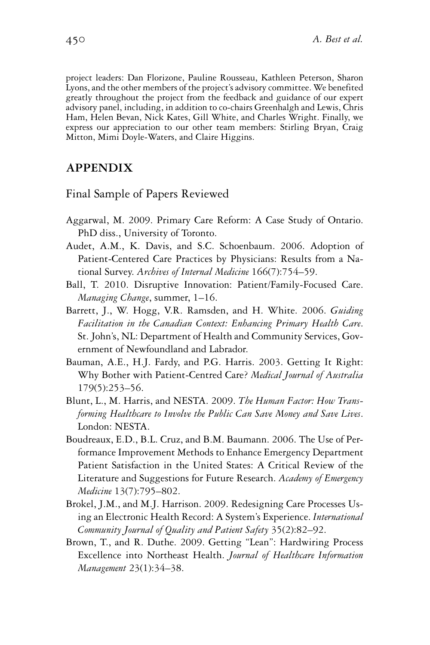project leaders: Dan Florizone, Pauline Rousseau, Kathleen Peterson, Sharon Lyons, and the other members of the project's advisory committee. We benefited greatly throughout the project from the feedback and guidance of our expert advisory panel, including, in addition to co-chairs Greenhalgh and Lewis, Chris Ham, Helen Bevan, Nick Kates, Gill White, and Charles Wright. Finally, we express our appreciation to our other team members: Stirling Bryan, Craig Mitton, Mimi Doyle-Waters, and Claire Higgins.

# **APPENDIX**

Final Sample of Papers Reviewed

- Aggarwal, M. 2009. Primary Care Reform: A Case Study of Ontario. PhD diss., University of Toronto.
- Audet, A.M., K. Davis, and S.C. Schoenbaum. 2006. Adoption of Patient-Centered Care Practices by Physicians: Results from a National Survey. *Archives of Internal Medicine* 166(7):754–59.
- Ball, T. 2010. Disruptive Innovation: Patient/Family-Focused Care. *Managing Change*, summer, 1–16.
- Barrett, J., W. Hogg, V.R. Ramsden, and H. White. 2006. *Guiding Facilitation in the Canadian Context: Enhancing Primary Health Care*. St. John's, NL: Department of Health and Community Services, Government of Newfoundland and Labrador.
- Bauman, A.E., H.J. Fardy, and P.G. Harris. 2003. Getting It Right: Why Bother with Patient-Centred Care? *Medical Journal of Australia* 179(5):253–56.
- Blunt, L., M. Harris, and NESTA. 2009. *The Human Factor: How Transforming Healthcare to Involve the Public Can Save Money and Save Lives*. London: NESTA.
- Boudreaux, E.D., B.L. Cruz, and B.M. Baumann. 2006. The Use of Performance Improvement Methods to Enhance Emergency Department Patient Satisfaction in the United States: A Critical Review of the Literature and Suggestions for Future Research. *Academy of Emergency Medicine* 13(7):795–802.
- Brokel, J.M., and M.J. Harrison. 2009. Redesigning Care Processes Using an Electronic Health Record: A System's Experience. *International Community Journal of Quality and Patient Safety* 35(2):82–92.
- Brown, T., and R. Duthe. 2009. Getting "Lean": Hardwiring Process Excellence into Northeast Health. *Journal of Healthcare Information Management* 23(1):34–38.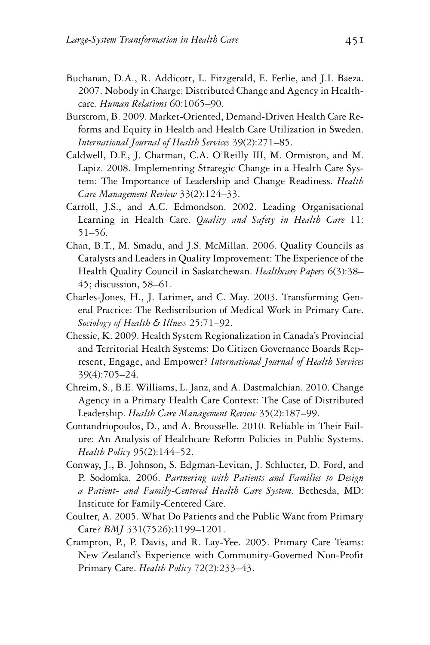- Buchanan, D.A., R. Addicott, L. Fitzgerald, E. Ferlie, and J.I. Baeza. 2007. Nobody in Charge: Distributed Change and Agency in Healthcare. *Human Relations* 60:1065–90.
- Burstrom, B. 2009. Market-Oriented, Demand-Driven Health Care Reforms and Equity in Health and Health Care Utilization in Sweden. *International Journal of Health Services* 39(2):271–85.
- Caldwell, D.F., J. Chatman, C.A. O'Reilly III, M. Ormiston, and M. Lapiz. 2008. Implementing Strategic Change in a Health Care System: The Importance of Leadership and Change Readiness. *Health Care Management Review* 33(2):124–33.
- Carroll, J.S., and A.C. Edmondson. 2002. Leading Organisational Learning in Health Care. *Quality and Safety in Health Care* 11: 51–56.
- Chan, B.T., M. Smadu, and J.S. McMillan. 2006. Quality Councils as Catalysts and Leaders in Quality Improvement: The Experience of the Health Quality Council in Saskatchewan. *Healthcare Papers* 6(3):38– 45; discussion, 58–61.
- Charles-Jones, H., J. Latimer, and C. May. 2003. Transforming General Practice: The Redistribution of Medical Work in Primary Care. *Sociology of Health & Illness* 25:71–92.
- Chessie, K. 2009. Health System Regionalization in Canada's Provincial and Territorial Health Systems: Do Citizen Governance Boards Represent, Engage, and Empower? *International Journal of Health Services* 39(4):705–24.
- Chreim, S., B.E. Williams, L. Janz, and A. Dastmalchian. 2010. Change Agency in a Primary Health Care Context: The Case of Distributed Leadership. *Health Care Management Review* 35(2):187–99.
- Contandriopoulos, D., and A. Brousselle. 2010. Reliable in Their Failure: An Analysis of Healthcare Reform Policies in Public Systems. *Health Policy* 95(2):144–52.
- Conway, J., B. Johnson, S. Edgman-Levitan, J. Schlucter, D. Ford, and P. Sodomka. 2006. *Partnering with Patients and Families to Design a Patient- and Family-Centered Health Care System*. Bethesda, MD: Institute for Family-Centered Care.
- Coulter, A. 2005. What Do Patients and the Public Want from Primary Care? *BMJ* 331(7526):1199–1201.
- Crampton, P., P. Davis, and R. Lay-Yee. 2005. Primary Care Teams: New Zealand's Experience with Community-Governed Non-Profit Primary Care. *Health Policy* 72(2):233–43.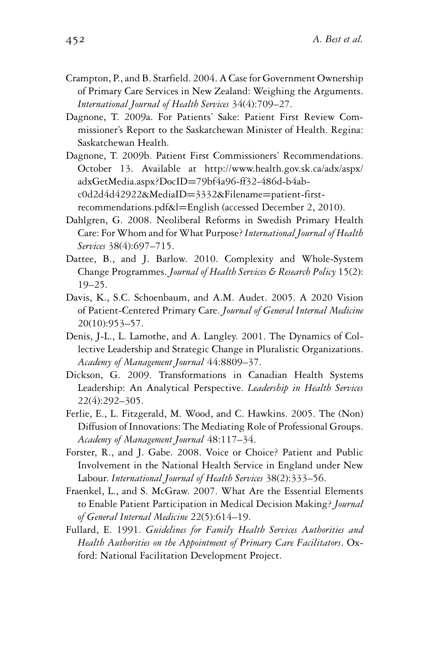- Crampton, P., and B. Starfield. 2004. A Case for Government Ownership of Primary Care Services in New Zealand: Weighing the Arguments. *International Journal of Health Services* 34(4):709–27.
- Dagnone, T. 2009a. For Patients' Sake: Patient First Review Commissioner's Report to the Saskatchewan Minister of Health. Regina: Saskatchewan Health.
- Dagnone, T. 2009b. Patient First Commissioners' Recommendations. October 13. Available at http://www.health.gov.sk.ca/adx/aspx/ adxGetMedia.aspx?DocID=79bf4a96-ff32-486d-b4abc0d2d4d42922&MediaID=3332&Filename=patient-firstrecommendations.pdf&l=English (accessed December 2, 2010).
- Dahlgren, G. 2008. Neoliberal Reforms in Swedish Primary Health Care: For Whom and for What Purpose?*International Journal of Health Services* 38(4):697–715.
- Dattee, B., and J. Barlow. 2010. Complexity and Whole-System Change Programmes. *Journal of Health Services & Research Policy* 15(2): 19–25.
- Davis, K., S.C. Schoenbaum, and A.M. Audet. 2005. A 2020 Vision of Patient-Centered Primary Care. *Journal of General Internal Medicine* 20(10):953–57.
- Denis, J-L., L. Lamothe, and A. Langley. 2001. The Dynamics of Collective Leadership and Strategic Change in Pluralistic Organizations. *Academy of Management Journal* 44:8809–37.
- Dickson, G. 2009. Transformations in Canadian Health Systems Leadership: An Analytical Perspective. *Leadership in Health Services* 22(4):292–305.
- Ferlie, E., L. Fitzgerald, M. Wood, and C. Hawkins. 2005. The (Non) Diffusion of Innovations: The Mediating Role of Professional Groups. *Academy of Management Journal* 48:117–34.
- Forster, R., and J. Gabe. 2008. Voice or Choice? Patient and Public Involvement in the National Health Service in England under New Labour. *International Journal of Health Services* 38(2):333–56.
- Fraenkel, L., and S. McGraw. 2007. What Are the Essential Elements to Enable Patient Participation in Medical Decision Making? *Journal of General Internal Medicine* 22(5):614–19.
- Fullard, E. 1991. *Guidelines for Family Health Services Authorities and Health Authorities on the Appointment of Primary Care Facilitators*. Oxford: National Facilitation Development Project.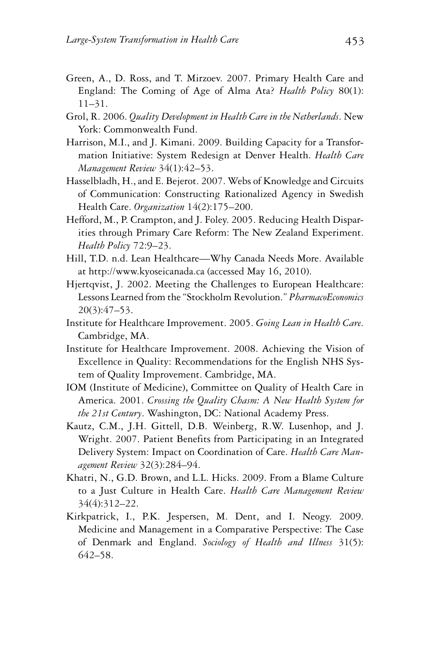- Green, A., D. Ross, and T. Mirzoev. 2007. Primary Health Care and England: The Coming of Age of Alma Ata? *Health Policy* 80(1): 11–31.
- Grol, R. 2006. *Quality Development in Health Care in the Netherlands*. New York: Commonwealth Fund.
- Harrison, M.I., and J. Kimani. 2009. Building Capacity for a Transformation Initiative: System Redesign at Denver Health. *Health Care Management Review* 34(1):42–53.
- Hasselbladh, H., and E. Bejerot. 2007. Webs of Knowledge and Circuits of Communication: Constructing Rationalized Agency in Swedish Health Care. *Organization* 14(2):175–200.
- Hefford, M., P. Crampton, and J. Foley. 2005. Reducing Health Disparities through Primary Care Reform: The New Zealand Experiment. *Health Policy* 72:9–23.
- Hill, T.D. n.d. Lean Healthcare—Why Canada Needs More. Available at http://www.kyoseicanada.ca (accessed May 16, 2010).
- Hjertqvist, J. 2002. Meeting the Challenges to European Healthcare: Lessons Learned from the "Stockholm Revolution." *PharmacoEconomics* 20(3):47–53.
- Institute for Healthcare Improvement. 2005. *Going Lean in Health Care*. Cambridge, MA.
- Institute for Healthcare Improvement. 2008. Achieving the Vision of Excellence in Quality: Recommendations for the English NHS System of Quality Improvement. Cambridge, MA.
- IOM (Institute of Medicine), Committee on Quality of Health Care in America. 2001. *Crossing the Quality Chasm: A New Health System for the 21st Century*. Washington, DC: National Academy Press.
- Kautz, C.M., J.H. Gittell, D.B. Weinberg, R.W. Lusenhop, and J. Wright. 2007. Patient Benefits from Participating in an Integrated Delivery System: Impact on Coordination of Care. *Health Care Management Review* 32(3):284–94.
- Khatri, N., G.D. Brown, and L.L. Hicks. 2009. From a Blame Culture to a Just Culture in Health Care. *Health Care Management Review* 34(4):312–22.
- Kirkpatrick, I., P.K. Jespersen, M. Dent, and I. Neogy. 2009. Medicine and Management in a Comparative Perspective: The Case of Denmark and England. *Sociology of Health and Illness* 31(5): 642–58.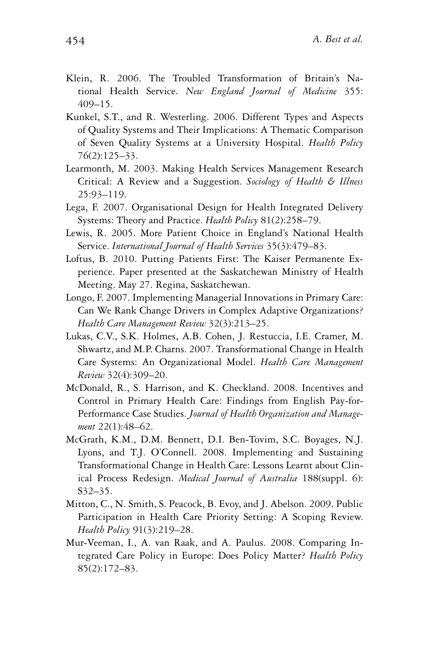- Klein, R. 2006. The Troubled Transformation of Britain's National Health Service. *New England Journal of Medicine* 355: 409–15.
- Kunkel, S.T., and R. Westerling. 2006. Different Types and Aspects of Quality Systems and Their Implications: A Thematic Comparison of Seven Quality Systems at a University Hospital. *Health Policy* 76(2):125–33.
- Learmonth, M. 2003. Making Health Services Management Research Critical: A Review and a Suggestion. *Sociology of Health & Illness* 25:93–119.
- Lega, F. 2007. Organisational Design for Health Integrated Delivery Systems: Theory and Practice. *Health Policy* 81(2):258–79.
- Lewis, R. 2005. More Patient Choice in England's National Health Service. *International Journal of Health Services* 35(3):479–83.
- Loftus, B. 2010. Putting Patients First: The Kaiser Permanente Experience. Paper presented at the Saskatchewan Ministry of Health Meeting. May 27. Regina, Saskatchewan.
- Longo, F. 2007. Implementing Managerial Innovations in Primary Care: Can We Rank Change Drivers in Complex Adaptive Organizations? *Health Care Management Review* 32(3):213–25.
- Lukas, C.V., S.K. Holmes, A.B. Cohen, J. Restuccia, I.E. Cramer, M. Shwartz, and M.P. Charns. 2007. Transformational Change in Health Care Systems: An Organizational Model. *Health Care Management Review* 32(4):309–20.
- McDonald, R., S. Harrison, and K. Checkland. 2008. Incentives and Control in Primary Health Care: Findings from English Pay-for-Performance Case Studies. *Journal of Health Organization and Management* 22(1):48–62.
- McGrath, K.M., D.M. Bennett, D.I. Ben-Tovim, S.C. Boyages, N.J. Lyons, and T.J. O'Connell. 2008. Implementing and Sustaining Transformational Change in Health Care: Lessons Learnt about Clinical Process Redesign. *Medical Journal of Australia* 188(suppl. 6): S32–35.
- Mitton, C., N. Smith, S. Peacock, B. Evoy, and J. Abelson. 2009. Public Participation in Health Care Priority Setting: A Scoping Review. *Health Policy* 91(3):219–28.
- Mur-Veeman, I., A. van Raak, and A. Paulus. 2008. Comparing Integrated Care Policy in Europe: Does Policy Matter? *Health Policy* 85(2):172–83.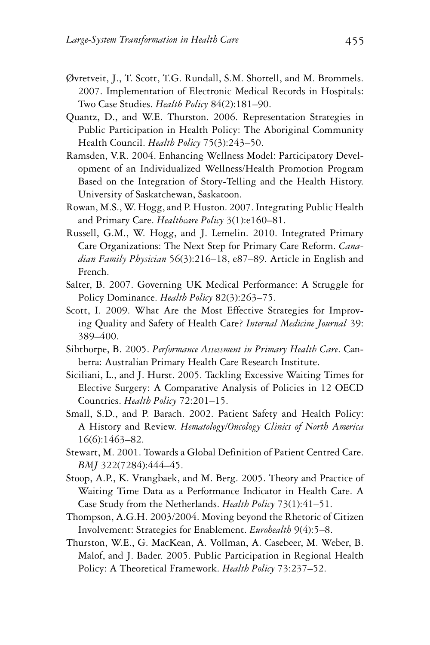- Øvretveit, J., T. Scott, T.G. Rundall, S.M. Shortell, and M. Brommels. 2007. Implementation of Electronic Medical Records in Hospitals: Two Case Studies. *Health Policy* 84(2):181–90.
- Quantz, D., and W.E. Thurston. 2006. Representation Strategies in Public Participation in Health Policy: The Aboriginal Community Health Council. *Health Policy* 75(3):243–50.
- Ramsden, V.R. 2004. Enhancing Wellness Model: Participatory Development of an Individualized Wellness/Health Promotion Program Based on the Integration of Story-Telling and the Health History. University of Saskatchewan, Saskatoon.
- Rowan, M.S., W. Hogg, and P. Huston. 2007. Integrating Public Health and Primary Care. *Healthcare Policy* 3(1):e160–81.
- Russell, G.M., W. Hogg, and J. Lemelin. 2010. Integrated Primary Care Organizations: The Next Step for Primary Care Reform. *Canadian Family Physician* 56(3):216–18, e87–89. Article in English and French.
- Salter, B. 2007. Governing UK Medical Performance: A Struggle for Policy Dominance. *Health Policy* 82(3):263–75.
- Scott, I. 2009. What Are the Most Effective Strategies for Improving Quality and Safety of Health Care? *Internal Medicine Journal* 39: 389–400.
- Sibthorpe, B. 2005. *Performance Assessment in Primary Health Care*. Canberra: Australian Primary Health Care Research Institute.
- Siciliani, L., and J. Hurst. 2005. Tackling Excessive Waiting Times for Elective Surgery: A Comparative Analysis of Policies in 12 OECD Countries. *Health Policy* 72:201–15.
- Small, S.D., and P. Barach. 2002. Patient Safety and Health Policy: A History and Review. *Hematology/Oncology Clinics of North America* 16(6):1463–82.
- Stewart, M. 2001. Towards a Global Definition of Patient Centred Care. *BMJ* 322(7284):444–45.
- Stoop, A.P., K. Vrangbaek, and M. Berg. 2005. Theory and Practice of Waiting Time Data as a Performance Indicator in Health Care. A Case Study from the Netherlands. *Health Policy* 73(1):41–51.
- Thompson, A.G.H. 2003/2004. Moving beyond the Rhetoric of Citizen Involvement: Strategies for Enablement. *Eurohealth* 9(4):5–8.
- Thurston, W.E., G. MacKean, A. Vollman, A. Casebeer, M. Weber, B. Malof, and J. Bader. 2005. Public Participation in Regional Health Policy: A Theoretical Framework. *Health Policy* 73:237–52.